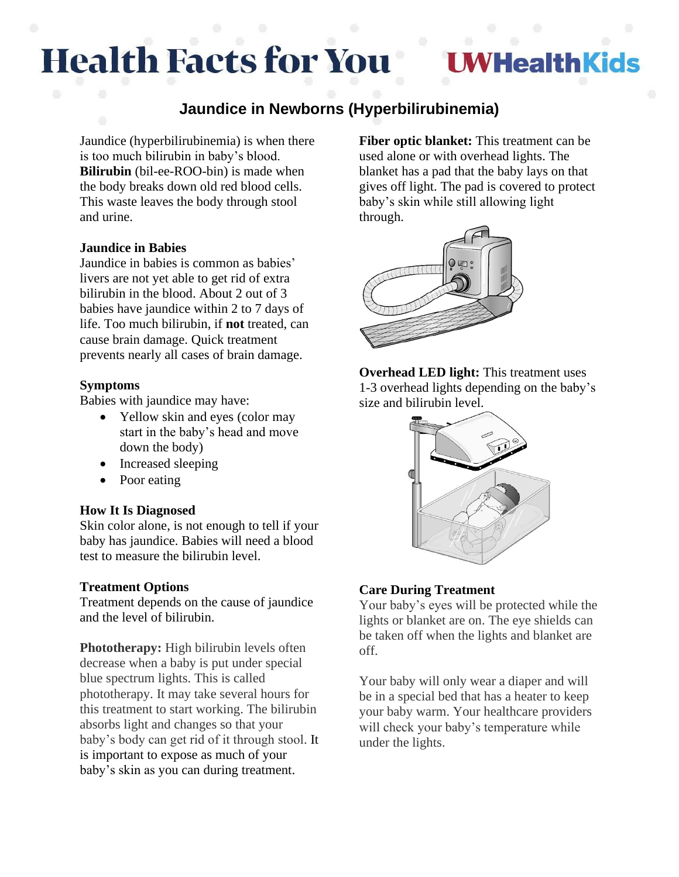# **Health Facts for You**

## **UWHealthKids**

### **Jaundice in Newborns (Hyperbilirubinemia)**

Jaundice (hyperbilirubinemia) is when there is too much bilirubin in baby's blood. **Bilirubin** (bil-ee-ROO-bin) is made when the body breaks down old red blood cells. This waste leaves the body through stool and urine.

#### **Jaundice in Babies**

Jaundice in babies is common as babies' livers are not yet able to get rid of extra bilirubin in the blood. About 2 out of 3 babies have jaundice within 2 to 7 days of life. Too much bilirubin, if **not** treated, can cause brain damage. Quick treatment prevents nearly all cases of brain damage.

#### **Symptoms**

Babies with jaundice may have:

- Yellow skin and eyes (color may start in the baby's head and move down the body)
- Increased sleeping
- Poor eating

#### **How It Is Diagnosed**

Skin color alone, is not enough to tell if your baby has jaundice. Babies will need a blood test to measure the bilirubin level.

#### **Treatment Options**

Treatment depends on the cause of jaundice and the level of bilirubin.

**Phototherapy:** High bilirubin levels often decrease when a baby is put under special blue spectrum lights. This is called phototherapy. It may take several hours for this treatment to start working. The bilirubin absorbs light and changes so that your baby's body can get rid of it through stool. It is important to expose as much of your baby's skin as you can during treatment.

**Fiber optic blanket:** This treatment can be used alone or with overhead lights. The blanket has a pad that the baby lays on that gives off light. The pad is covered to protect baby's skin while still allowing light through.



**Overhead LED light:** This treatment uses 1-3 overhead lights depending on the baby's size and bilirubin level.



#### **Care During Treatment**

Your baby's eyes will be protected while the lights or blanket are on. The eye shields can be taken off when the lights and blanket are off.

Your baby will only wear a diaper and will be in a special bed that has a heater to keep your baby warm. Your healthcare providers will check your baby's temperature while under the lights.